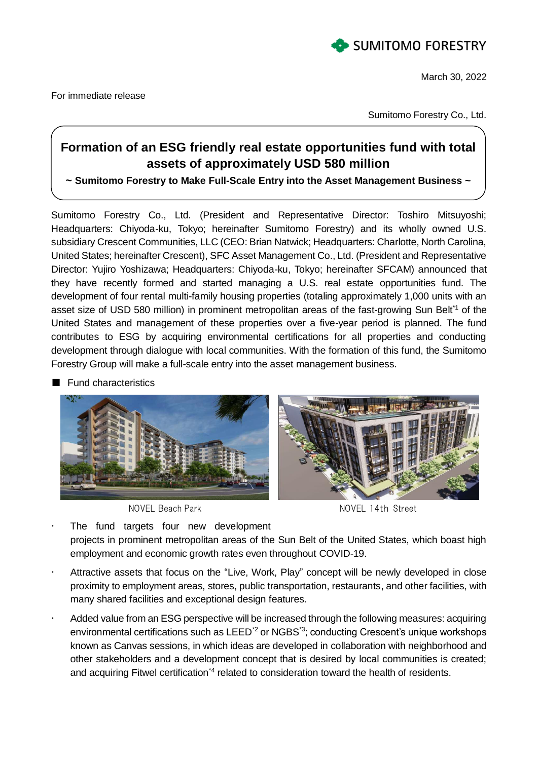

March 30, 2022

Sumitomo Forestry Co., Ltd.

## **Formation of an ESG friendly real estate opportunities fund with total assets of approximately USD 580 million**

**~ Sumitomo Forestry to Make Full-Scale Entry into the Asset Management Business ~**

Sumitomo Forestry Co., Ltd. (President and Representative Director: Toshiro Mitsuyoshi; Headquarters: Chiyoda-ku, Tokyo; hereinafter Sumitomo Forestry) and its wholly owned U.S. subsidiary Crescent Communities, LLC (CEO: Brian Natwick; Headquarters: Charlotte, North Carolina, United States; hereinafter Crescent), SFC Asset Management Co., Ltd. (President and Representative Director: Yujiro Yoshizawa; Headquarters: Chiyoda-ku, Tokyo; hereinafter SFCAM) announced that they have recently formed and started managing a U.S. real estate opportunities fund. The development of four rental multi-family housing properties (totaling approximately 1,000 units with an asset size of USD 580 million) in prominent metropolitan areas of the fast-growing Sun Belt<sup>\*1</sup> of the United States and management of these properties over a five-year period is planned. The fund contributes to ESG by acquiring environmental certifications for all properties and conducting development through dialogue with local communities. With the formation of this fund, the Sumitomo Forestry Group will make a full-scale entry into the asset management business.

**Fund characteristics** 



NOVEL Beach Park NOVEL 14th Street

- The fund targets four new development projects in prominent metropolitan areas of the Sun Belt of the United States, which boast high employment and economic growth rates even throughout COVID-19.
- Attractive assets that focus on the "Live, Work, Play" concept will be newly developed in close proximity to employment areas, stores, public transportation, restaurants, and other facilities, with many shared facilities and exceptional design features.
- Added value from an ESG perspective will be increased through the following measures: acquiring environmental certifications such as LEED<sup>\*2</sup> or NGBS<sup>\*3</sup>; conducting Crescent's unique workshops known as Canvas sessions, in which ideas are developed in collaboration with neighborhood and other stakeholders and a development concept that is desired by local communities is created; and acquiring Fitwel certification<sup>\*4</sup> related to consideration toward the health of residents.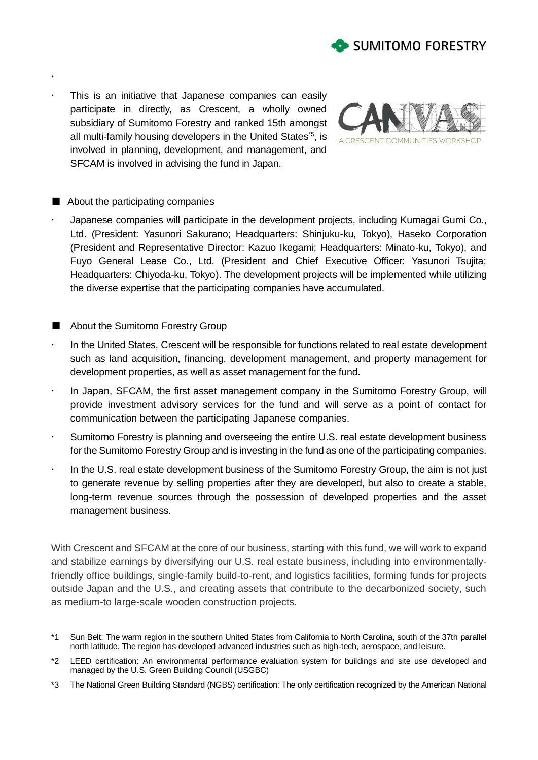

 This is an initiative that Japanese companies can easily participate in directly, as Crescent, a wholly owned subsidiary of Sumitomo Forestry and ranked 15th amongst all multi-family housing developers in the United States<sup>\*5</sup>, is involved in planning, development, and management, and SFCAM is involved in advising the fund in Japan.



## ■ About the participating companies

 $\ddot{\phantom{0}}$ 

- Japanese companies will participate in the development projects, including Kumagai Gumi Co., Ltd. (President: Yasunori Sakurano; Headquarters: Shinjuku-ku, Tokyo), Haseko Corporation (President and Representative Director: Kazuo Ikegami; Headquarters: Minato-ku, Tokyo), and Fuyo General Lease Co., Ltd. (President and Chief Executive Officer: Yasunori Tsujita; Headquarters: Chiyoda-ku, Tokyo). The development projects will be implemented while utilizing the diverse expertise that the participating companies have accumulated.
- About the Sumitomo Forestry Group
- In the United States, Crescent will be responsible for functions related to real estate development such as land acquisition, financing, development management, and property management for development properties, as well as asset management for the fund.
- In Japan, SFCAM, the first asset management company in the Sumitomo Forestry Group, will provide investment advisory services for the fund and will serve as a point of contact for communication between the participating Japanese companies.
- Sumitomo Forestry is planning and overseeing the entire U.S. real estate development business for the Sumitomo Forestry Group and is investing in the fund as one of the participating companies.
- In the U.S. real estate development business of the Sumitomo Forestry Group, the aim is not just to generate revenue by selling properties after they are developed, but also to create a stable, long-term revenue sources through the possession of developed properties and the asset management business.

With Crescent and SFCAM at the core of our business, starting with this fund, we will work to expand and stabilize earnings by diversifying our U.S. real estate business, including into environmentallyfriendly office buildings, single-family build-to-rent, and logistics facilities, forming funds for projects outside Japan and the U.S., and creating assets that contribute to the decarbonized society, such as medium-to large-scale wooden construction projects.

- \*1 Sun Belt: The warm region in the southern United States from California to North Carolina, south of the 37th parallel north latitude. The region has developed advanced industries such as high-tech, aerospace, and leisure.
- \*2 LEED certification: An environmental performance evaluation system for buildings and site use developed and managed by the U.S. Green Building Council (USGBC)
- \*3 The National Green Building Standard (NGBS) certification: The only certification recognized by the American National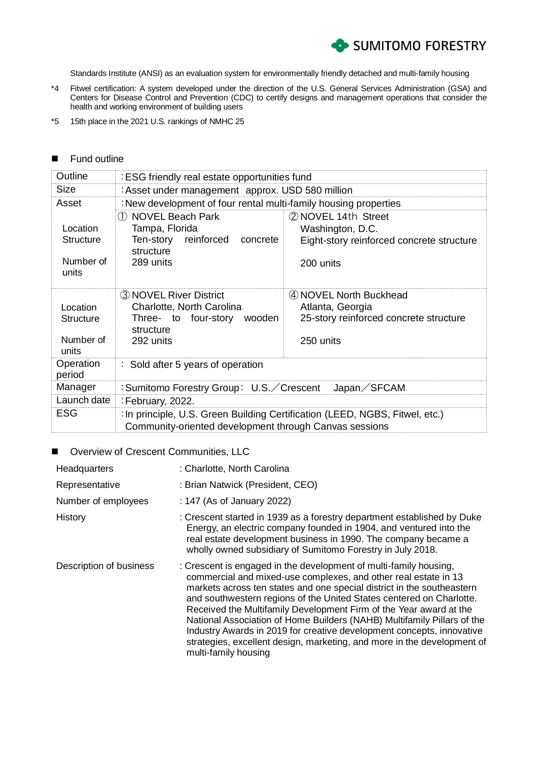

Standards Institute (ANSI) as an evaluation system for environmentally friendly detached and multi-family housing

- \*4 Fitwel certification: A system developed under the direction of the U.S. General Services Administration (GSA) and Centers for Disease Control and Prevention (CDC) to certify designs and management operations that consider the health and working environment of building users
- \*5 15th place in the 2021 U.S. rankings of NMHC 25

## **Fund outline**

| Outline                                            | : ESG friendly real estate opportunities fund                                                                                          |                                                                                                     |  |
|----------------------------------------------------|----------------------------------------------------------------------------------------------------------------------------------------|-----------------------------------------------------------------------------------------------------|--|
| Size                                               | : Asset under management approx. USD 580 million                                                                                       |                                                                                                     |  |
| Asset                                              | : New development of four rental multi-family housing properties                                                                       |                                                                                                     |  |
| Location<br><b>Structure</b><br>Number of<br>units | 1 NOVEL Beach Park<br>Tampa, Florida<br>Ten-story reinforced<br>concrete<br>structure<br>289 units                                     | 2 NOVEL 14th Street<br>Washington, D.C.<br>Eight-story reinforced concrete structure<br>200 units   |  |
| Location<br><b>Structure</b><br>Number of<br>units | 3 NOVEL River District<br>Charlotte, North Carolina<br>Three- to four-story<br>wooden<br>structure<br>292 units                        | (4) NOVEL North Buckhead<br>Atlanta, Georgia<br>25-story reinforced concrete structure<br>250 units |  |
| Operation<br>period                                | : Sold after 5 years of operation                                                                                                      |                                                                                                     |  |
| Manager                                            | :Sumitomo Forestry Group: U.S. / Crescent<br>Japan/SFCAM                                                                               |                                                                                                     |  |
| Launch date                                        | : February, 2022.                                                                                                                      |                                                                                                     |  |
| <b>ESG</b>                                         | : In principle, U.S. Green Building Certification (LEED, NGBS, Fitwel, etc.)<br>Community-oriented development through Canvas sessions |                                                                                                     |  |

## ■ Overview of Crescent Communities, LLC

| Headquarters            | : Charlotte, North Carolina                                                                                                                                                                                                                                                                                                                                                                                                                                                                                                                                                                                         |
|-------------------------|---------------------------------------------------------------------------------------------------------------------------------------------------------------------------------------------------------------------------------------------------------------------------------------------------------------------------------------------------------------------------------------------------------------------------------------------------------------------------------------------------------------------------------------------------------------------------------------------------------------------|
| Representative          | : Brian Natwick (President, CEO)                                                                                                                                                                                                                                                                                                                                                                                                                                                                                                                                                                                    |
| Number of employees     | : 147 (As of January 2022)                                                                                                                                                                                                                                                                                                                                                                                                                                                                                                                                                                                          |
| History                 | : Crescent started in 1939 as a forestry department established by Duke<br>Energy, an electric company founded in 1904, and ventured into the<br>real estate development business in 1990. The company became a<br>wholly owned subsidiary of Sumitomo Forestry in July 2018.                                                                                                                                                                                                                                                                                                                                       |
| Description of business | : Crescent is engaged in the development of multi-family housing,<br>commercial and mixed-use complexes, and other real estate in 13<br>markets across ten states and one special district in the southeastern<br>and southwestern regions of the United States centered on Charlotte.<br>Received the Multifamily Development Firm of the Year award at the<br>National Association of Home Builders (NAHB) Multifamily Pillars of the<br>Industry Awards in 2019 for creative development concepts, innovative<br>strategies, excellent design, marketing, and more in the development of<br>multi-family housing |